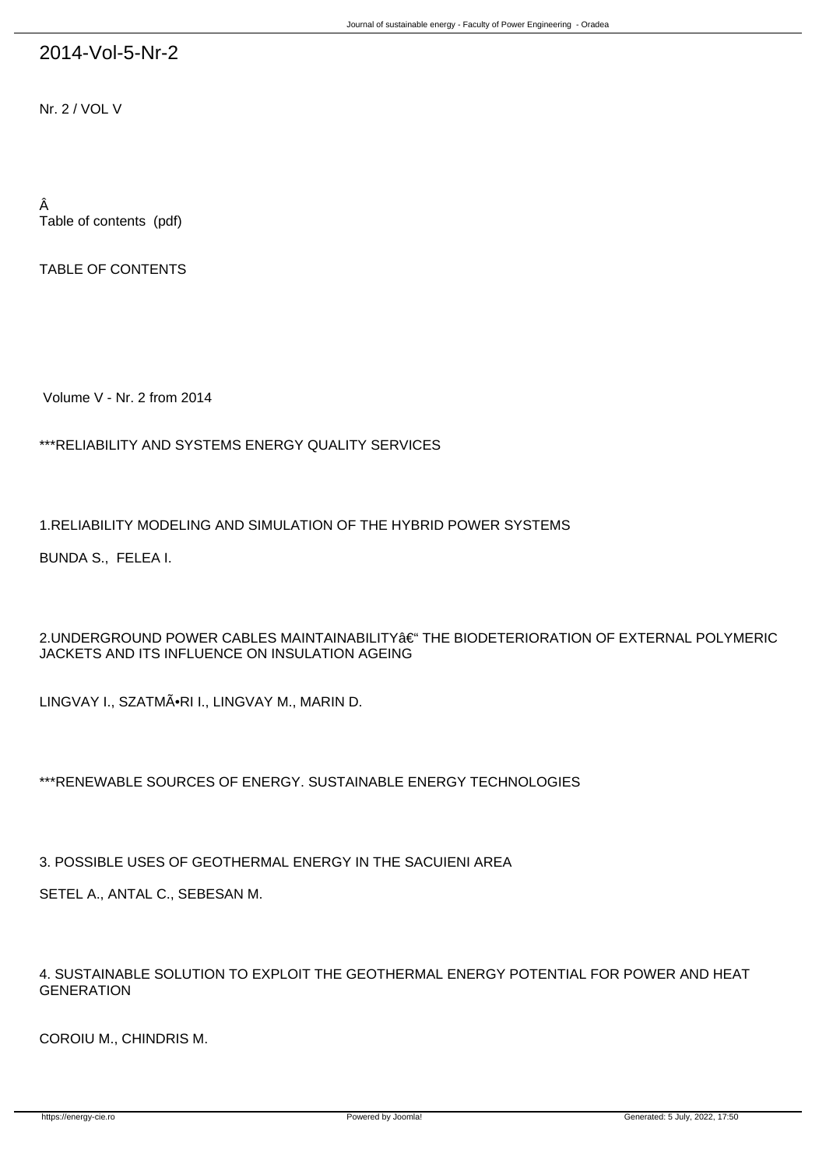## 2014-Vol-5-Nr-2

Nr. 2 / VOL V

Â Table of contents (pdf)

TABLE OF CONTENTS

Volume V - Nr. 2 from 2014

\*\*\*RELIABILITY AND SYSTEMS ENERGY QUALITY SERVICES

1.RELIABILITY MODELING AND SIMULATION OF THE HYBRID POWER SYSTEMS

BUNDA S., FELEA I.

 $2.$ UNDERGROUND POWER CABLES MAINTAINABILITY  $\hat{a} \in \hat{a}^{\text{th}}$  The BIODETERIORATION OF EXTERNAL POLYMERIC JACKETS AND ITS INFLUENCE ON INSULATION AGEING

LINGVAY I., SZATMÃ.RI I., LINGVAY M., MARIN D.

\*\*\*RENEWABLE SOURCES OF ENERGY. SUSTAINABLE ENERGY TECHNOLOGIES

3. POSSIBLE USES OF GEOTHERMAL ENERGY IN THE SACUIENI AREA

SETEL A., ANTAL C., SEBESAN M.

4. SUSTAINABLE SOLUTION TO EXPLOIT THE GEOTHERMAL ENERGY POTENTIAL FOR POWER AND HEAT **GENERATION** 

COROIU M., CHINDRIS M.